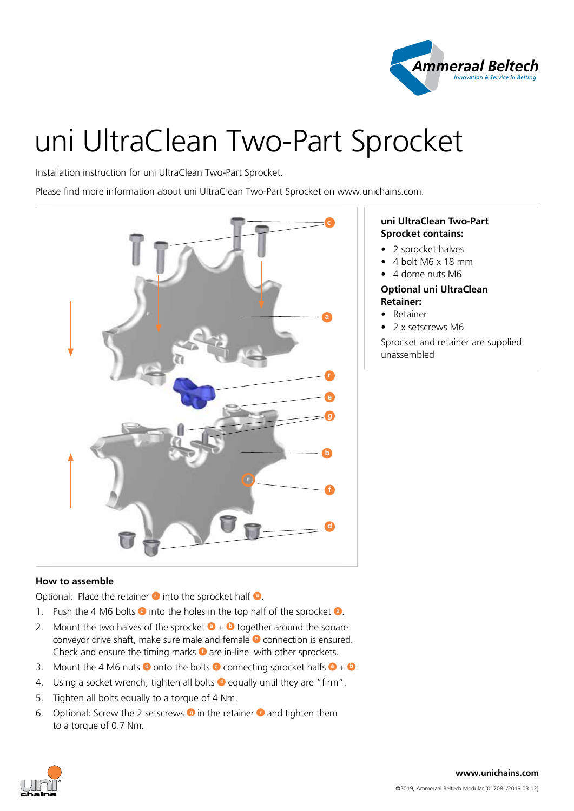

# uni UltraClean Two-Part Sprocket

Installation instruction for uni UltraClean Two-Part Sprocket.

Please find more information about uni UltraClean Two-Part Sprocket on www.unichains.com.



# **How to assemble**

Optional: Place the retainer **O** into the sprocket half **O**.

- 1. Push the 4 M6 bolts **c** into the holes in the top half of the sprocket **<sup>a</sup>** .
- 2. Mount the two halves of the sprocket  $\bullet$  +  $\bullet$  together around the square conveyor drive shaft, make sure male and female **e** connection is ensured. Check and ensure the timing marks **f** are in-line with other sprockets.
- 3. Mount the 4 M6 nuts  $\bullet$  onto the bolts  $\bullet$  connecting sprocket halfs  $\bullet$  +  $\bullet$ .
- 4. Using a socket wrench, tighten all bolts  $\bullet$  equally until they are "firm".
- 5. Tighten all bolts equally to a torque of 4 Nm.
- 6. Optional: Screw the 2 setscrews **g** in the retainer **r** and tighten them to a torque of 0.7 Nm.

## **uni UltraClean Two-Part Sprocket contains:**

- 2 sprocket halves
- 4 bolt M6 x 18 mm
- 4 dome nuts M6

### **Optional uni UltraClean Retainer:**

- Retainer
- 2 x setscrews M6

Sprocket and retainer are supplied unassembled